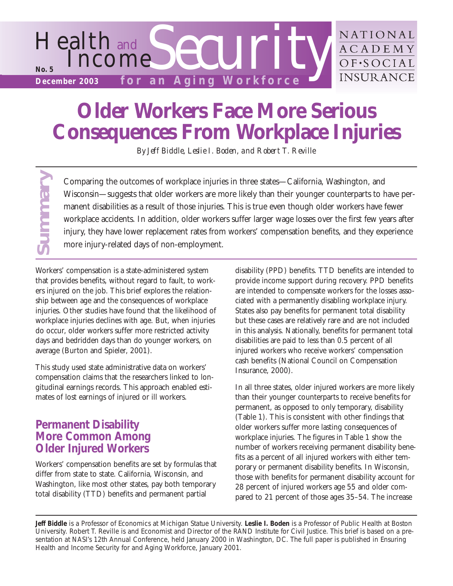

# **Older Workers Face More Serious Consequences From Workplace Injuries**

*By Jeff Biddle, Leslie I. Boden, and Robert T. Reville*

Comparing the outcomes of workplace injuries in three states—California, Washington, and Wisconsin—suggests that older workers are more likely than their younger counterparts to have permanent disabilities as a result of those injuries. This is true even though older workers have fewer workplace accidents. In addition, older workers suffer larger wage losses over the first few years after injury, they have lower replacement rates from workers' compensation benefits, and they experience more injury-related days of non-employment.

Workers' compensation is a state-administered system that provides benefits, without regard to fault, to workers injured on the job. This brief explores the relationship between age and the consequences of workplace injuries. Other studies have found that the likelihood of workplace injuries declines with age. But, when injuries do occur, older workers suffer more restricted activity days and bedridden days than do younger workers, on average (Burton and Spieler, 2001).

This study used state administrative data on workers' compensation claims that the researchers linked to longitudinal earnings records. This approach enabled estimates of lost earnings of injured or ill workers.

# **Permanent Disability More Common Among Older Injured Workers**

**Summary**

Workers' compensation benefits are set by formulas that differ from state to state. California, Wisconsin, and Washington, like most other states, pay both temporary total disability (TTD) benefits and permanent partial

disability (PPD) benefits. TTD benefits are intended to provide income support during recovery. PPD benefits are intended to compensate workers for the losses associated with a permanently disabling workplace injury. States also pay benefits for permanent total disability but these cases are relatively rare and are not included in this analysis. Nationally, benefits for permanent total disabilities are paid to less than 0.5 percent of all injured workers who receive workers' compensation cash benefits (National Council on Compensation Insurance, 2000).

In all three states, older injured workers are more likely than their younger counterparts to receive benefits for permanent, as opposed to only temporary, disability (Table 1). This is consistent with other findings that older workers suffer more lasting consequences of workplace injuries. The figures in Table 1 show the number of workers receiving permanent disability benefits as a percent of all injured workers with either temporary or permanent disability benefits. In Wisconsin, those with benefits for permanent disability account for 28 percent of injured workers age 55 and older compared to 21 percent of those ages 35–54. The increase

**Jeff Biddle** is a Professor of Economics at Michigan Statue University. **Leslie I. Boden** is a Professor of Public Health at Boston University. Robert T. Reville is and Economist and Director of the RAND Institute for Civil Justice. This brief is based on a presentation at NASI's 12th Annual Conference, held January 2000 in Washington, DC. The full paper is published in *Ensuring Health and Income Security for and Aging Workforce*, January 2001.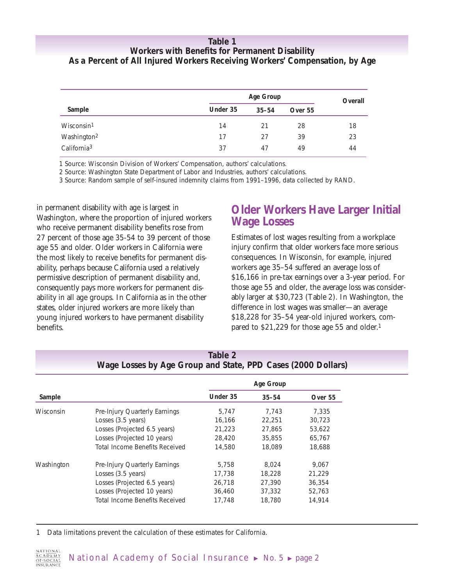### **Table 1 Workers with Benefits for Permanent Disability As a Percent of All Injured Workers Receiving Workers' Compensation, by Age**

|                         | Age Group |           |         | Overall |
|-------------------------|-----------|-----------|---------|---------|
| Sample                  | Under 35  | $35 - 54$ | Over 55 |         |
| Wisconsin <sup>1</sup>  | 14        | 21        | 28      | 18      |
| Washington <sup>2</sup> | 17        | 27        | 39      | 23      |
| California <sup>3</sup> | 37        | 47        | 49      | 44      |

1 Source: Wisconsin Division of Workers' Compensation, authors' calculations.

2 Source: Washington State Department of Labor and Industries, authors' calculations.

3 Source: Random sample of self-insured indemnity claims from 1991–1996, data collected by RAND.

in permanent disability with age is largest in Washington, where the proportion of injured workers who receive permanent disability benefits rose from 27 percent of those age 35-54 to 39 percent of those age 55 and older. Older workers in California were the most likely to receive benefits for permanent disability, perhaps because California used a relatively permissive description of permanent disability and, consequently pays more workers for permanent disability in all age groups. In California as in the other states, older injured workers are more likely than young injured workers to have permanent disability benefits.

### **Older Workers Have Larger Initial Wage Losses**

Estimates of lost wages resulting from a workplace injury confirm that older workers face more serious consequences. In Wisconsin, for example, injured workers age 35–54 suffered an average loss of \$16,166 in pre-tax earnings over a 3-year period. For those age 55 and older, the average loss was considerably larger at \$30,723 (Table 2). In Washington, the difference in lost wages was smaller—an average \$18,228 for 35–54 year-old injured workers, compared to \$21,229 for those age 55 and older.1

|            |                                | Age Group |           |         |
|------------|--------------------------------|-----------|-----------|---------|
| Sample     |                                | Under 35  | $35 - 54$ | Over 55 |
| Wisconsin  | Pre-Injury Quarterly Earnings  | 5.747     | 7.743     | 7.335   |
|            | Losses (3.5 years)             | 16,166    | 22,251    | 30.723  |
|            | Losses (Projected 6.5 years)   | 21,223    | 27,865    | 53,622  |
|            | Losses (Projected 10 years)    | 28,420    | 35,855    | 65,767  |
|            | Total Income Benefits Received | 14,580    | 18,089    | 18,688  |
| Washington | Pre-Injury Quarterly Earnings  | 5.758     | 8.024     | 9.067   |
|            | Losses (3.5 years)             | 17,738    | 18,228    | 21,229  |
|            | Losses (Projected 6.5 years)   | 26,718    | 27,390    | 36,354  |
|            | Losses (Projected 10 years)    | 36,460    | 37,332    | 52.763  |
|            | Total Income Benefits Received | 17,748    | 18,780    | 14.914  |

### **Table 2 Wage Losses by Age Group and State, PPD Cases (2000 Dollars)**

1 Data limitations prevent the calculation of these estimates for California.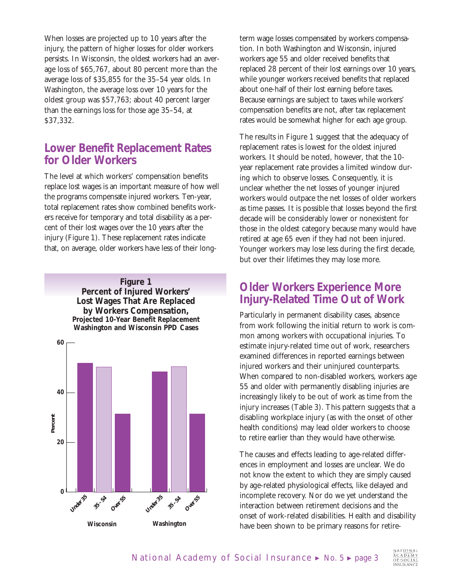When losses are projected up to 10 years after the injury, the pattern of higher losses for older workers persists. In Wisconsin, the oldest workers had an average loss of \$65,767, about 80 percent more than the average loss of \$35,855 for the 35–54 year olds. In Washington, the average loss over 10 years for the oldest group was \$57,763; about 40 percent larger than the earnings loss for those age 35–54, at \$37,332.

### **Lower Benefit Replacement Rates for Older Workers**

The level at which workers' compensation benefits replace lost wages is an important measure of how well the programs compensate injured workers. Ten-year, total replacement rates show combined benefits workers receive for temporary and total disability as a percent of their lost wages over the 10 years after the injury (Figure 1). These replacement rates indicate that, on average, older workers have less of their long-



term wage losses compensated by workers compensation. In both Washington and Wisconsin, injured workers age 55 and older received benefits that replaced 28 percent of their lost earnings over 10 years, while younger workers received benefits that replaced about one-half of their lost earning before taxes. Because earnings are subject to taxes while workers' compensation benefits are not, after tax replacement rates would be somewhat higher for each age group.

The results in Figure 1 suggest that the adequacy of replacement rates is lowest for the oldest injured workers. It should be noted, however, that the 10 year replacement rate provides a limited window during which to observe losses. Consequently, it is unclear whether the net losses of younger injured workers would outpace the net losses of older workers as time passes. It is possible that losses beyond the first decade will be considerably lower or nonexistent for those in the oldest category because many would have retired at age 65 even if they had not been injured. Younger workers may lose less during the first decade, but over their lifetimes they may lose more.

# **Older Workers Experience More Injury-Related Time Out of Work**

Particularly in permanent disability cases, absence from work following the initial return to work is common among workers with occupational injuries. To estimate injury-related time out of work, researchers examined differences in reported earnings between injured workers and their uninjured counterparts. When compared to non-disabled workers, workers age 55 and older with permanently disabling injuries are increasingly likely to be out of work as time from the injury increases (Table 3). This pattern suggests that a disabling workplace injury (as with the onset of other health conditions) may lead older workers to choose to retire earlier than they would have otherwise.

The causes and effects leading to age-related differences in employment and losses are unclear. We do not know the extent to which they are simply caused by age-related physiological effects, like delayed and incomplete recovery. Nor do we yet understand the interaction between retirement decisions and the onset of work-related disabilities. Health and disability have been shown to be primary reasons for retire-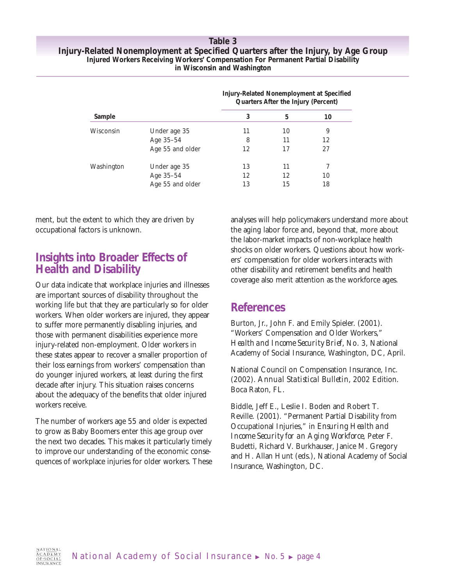#### **Table 3 Injury-Related Nonemployment at Specified Quarters after the Injury, by Age Group Injured Workers Receiving Workers' Compensation For Permanent Partial Disability in Wisconsin and Washington**

|            |                  |    | Injury-Related Nonemployment at Specified<br>Quarters After the Injury (Percent) |    |  |  |
|------------|------------------|----|----------------------------------------------------------------------------------|----|--|--|
| Sample     |                  | 3  | 5                                                                                | 10 |  |  |
| Wisconsin  | Under age 35     | 11 | 10                                                                               | 9  |  |  |
|            | Age 35-54        | 8  | 11                                                                               | 12 |  |  |
|            | Age 55 and older | 12 | 17                                                                               | 27 |  |  |
| Washington | Under age 35     | 13 | 11                                                                               |    |  |  |
|            | Age 35-54        | 12 | 12                                                                               | 10 |  |  |
|            | Age 55 and older | 13 | 15                                                                               | 18 |  |  |

ment, but the extent to which they are driven by occupational factors is unknown.

### **Insights into Broader Effects of Health and Disability**

Our data indicate that workplace injuries and illnesses are important sources of disability throughout the working life but that they are particularly so for older workers. When older workers are injured, they appear to suffer more permanently disabling injuries, and those with permanent disabilities experience more injury-related non-employment. Older workers in these states appear to recover a smaller proportion of their loss earnings from workers' compensation than do younger injured workers, at least during the first decade after injury. This situation raises concerns about the adequacy of the benefits that older injured workers receive.

The number of workers age 55 and older is expected to grow as Baby Boomers enter this age group over the next two decades. This makes it particularly timely to improve our understanding of the economic consequences of workplace injuries for older workers. These analyses will help policymakers understand more about the aging labor force and, beyond that, more about the labor-market impacts of non-workplace health shocks on older workers. Questions about how workers' compensation for older workers interacts with other disability and retirement benefits and health coverage also merit attention as the workforce ages.

### **References**

Burton, Jr., John F. and Emily Spieler. (2001). "Workers' Compensation and Older Workers," *Health and Income Security Brief,* No. 3, National Academy of Social Insurance, Washington, DC, April.

National Council on Compensation Insurance, Inc. (2002). *Annual Statistical Bulletin,* 2002 Edition. Boca Raton, FL.

Biddle, Jeff E., Leslie I. Boden and Robert T. Reville. (2001). "Permanent Partial Disability from Occupational Injuries," in *Ensuring Health and Income Security for an Aging Workforce,* Peter F. Budetti, Richard V. Burkhauser, Janice M. Gregory and H. Allan Hunt (eds.), National Academy of Social Insurance, Washington, DC.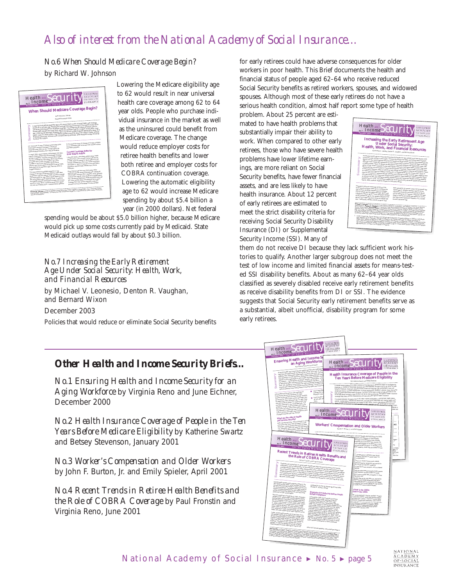# *Also of interest from the National Academy of Social Insurance…*

### *No.6 When Should Medicare Coverage Begin?* by Richard W. Johnson



Lowering the Medicare eligibility age to 62 would result in near universal health care coverage among 62 to 64 year olds. People who purchase individual insurance in the market as well as the uninsured could benefit from Medicare coverage. The change would reduce employer costs for retiree health benefits and lower both retiree and employer costs for COBRA continuation coverage. Lowering the automatic eligibility age to 62 would increase Medicare spending by about \$5.4 billion a year (in 2000 dollars). Net federal

spending would be about \$5.0 billion higher, because Medicare would pick up some costs currently paid by Medicaid. State Medicaid outlays would fall by about \$0.3 billion.

#### *No.7 Increasing the Early Retirement Age Under Social Security: Health, Work, and Financial Resources*

by Michael V. Leonesio, Denton R. Vaughan, and Bernard Wixon

December 2003

Policies that would reduce or eliminate Social Security benefits

for early retirees could have adverse consequences for older workers in poor health. This Brief documents the health and financial status of people aged 62–64 who receive reduced Social Security benefits as retired workers, spouses, and widowed spouses. Although most of these early retirees do not have a serious health condition, almost half report some type of health

problem. About 25 percent are estimated to have health problems that substantially impair their ability to work. When compared to other early retirees, those who have severe health problems have lower lifetime earnings, are more reliant on Social Security benefits, have fewer financial assets, and are less likely to have health insurance. About 12 percent of early retirees are estimated to meet the strict disability criteria for receiving Social Security Disability Insurance (DI) or Supplemental Security Income (SSI). Many of



them do not receive DI because they lack sufficient work histories to qualify. Another larger subgroup does not meet the test of low income and limited financial assets for means-tested SSI disability benefits. About as many 62–64 year olds classified as severely disabled receive early retirement benefits as receive disability benefits from DI or SSI. The evidence suggests that Social Security early retirement benefits serve as a substantial, albeit unofficial, disability program for some early retirees.

### *Other Health and Income Security Briefs…*

*No.1 Ensuring Health and Income Security for an Aging Workforce* by Virginia Reno and June Eichner, December 2000

*No.2 Health Insurance Coverage of People in the Ten Years Before Medicare Eligibility* by Katherine Swartz and Betsey Stevenson, January 2001

*No.3 Worker's Compensation and Older Workers*  by John F. Burton, Jr. and Emily Spieler, April 2001

*No.4 Recent Trends in Retiree Health Benefits and the Role of COBRA Coverage* by Paul Fronstin and Virginia Reno, June 2001